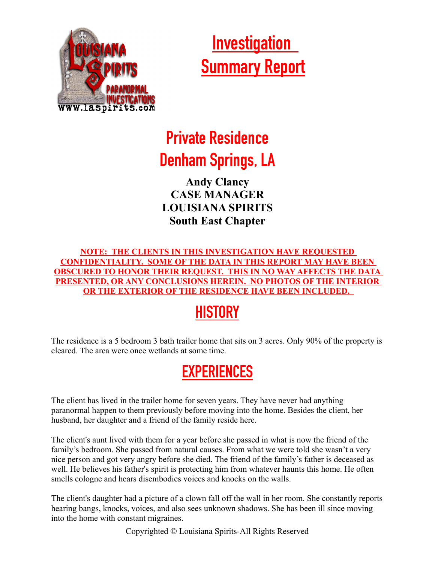

 **Investigation Summary Report**

# **Private Residence Denham Springs, LA**

**Andy Clancy CASE MANAGER LOUISIANA SPIRITS South East Chapter**

**NOTE: THE CLIENTS IN THIS INVESTIGATION HAVE REQUESTED CONFIDENTIALITY. SOME OF THE DATA IN THIS REPORT MAY HAVE BEEN OBSCURED TO HONOR THEIR REQUEST. THIS IN NO WAY AFFECTS THE DATA PRESENTED, OR ANY CONCLUSIONS HEREIN. NO PHOTOS OF THE INTERIOR OR THE EXTERIOR OF THE RESIDENCE HAVE BEEN INCLUDED.** 

## **HISTORY**

The residence is a 5 bedroom 3 bath trailer home that sits on 3 acres. Only 90% of the property is cleared. The area were once wetlands at some time.

### **EXPERIENCES**

The client has lived in the trailer home for seven years. They have never had anything paranormal happen to them previously before moving into the home. Besides the client, her husband, her daughter and a friend of the family reside here.

The client's aunt lived with them for a year before she passed in what is now the friend of the family's bedroom. She passed from natural causes. From what we were told she wasn't a very nice person and got very angry before she died. The friend of the family's father is deceased as well. He believes his father's spirit is protecting him from whatever haunts this home. He often smells cologne and hears disembodies voices and knocks on the walls.

The client's daughter had a picture of a clown fall off the wall in her room. She constantly reports hearing bangs, knocks, voices, and also sees unknown shadows. She has been ill since moving into the home with constant migraines.

Copyrighted © Louisiana Spirits-All Rights Reserved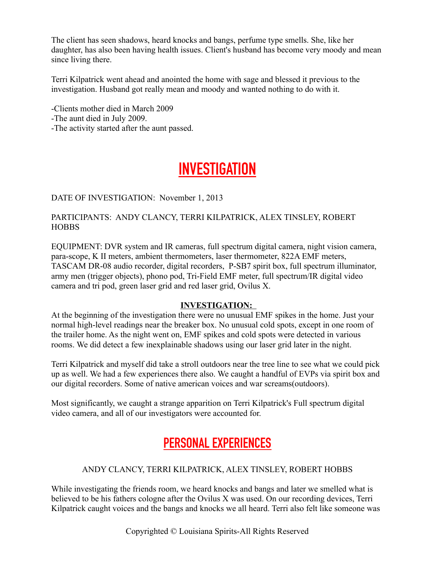The client has seen shadows, heard knocks and bangs, perfume type smells. She, like her daughter, has also been having health issues. Client's husband has become very moody and mean since living there.

Terri Kilpatrick went ahead and anointed the home with sage and blessed it previous to the investigation. Husband got really mean and moody and wanted nothing to do with it.

-Clients mother died in March 2009

- -The aunt died in July 2009.
- -The activity started after the aunt passed.

### **INVESTIGATION**

#### DATE OF INVESTIGATION: November 1, 2013

#### PARTICIPANTS: ANDY CLANCY, TERRI KILPATRICK, ALEX TINSLEY, ROBERT **HOBBS**

EQUIPMENT: DVR system and IR cameras, full spectrum digital camera, night vision camera, para-scope, K II meters, ambient thermometers, laser thermometer, 822A EMF meters, TASCAM DR-08 audio recorder, digital recorders, P-SB7 spirit box, full spectrum illuminator, army men (trigger objects), phono pod, Tri-Field EMF meter, full spectrum/IR digital video camera and tri pod, green laser grid and red laser grid, Ovilus X.

#### **INVESTIGATION:**

At the beginning of the investigation there were no unusual EMF spikes in the home. Just your normal high-level readings near the breaker box. No unusual cold spots, except in one room of the trailer home. As the night went on, EMF spikes and cold spots were detected in various rooms. We did detect a few inexplainable shadows using our laser grid later in the night.

Terri Kilpatrick and myself did take a stroll outdoors near the tree line to see what we could pick up as well. We had a few experiences there also. We caught a handful of EVPs via spirit box and our digital recorders. Some of native american voices and war screams(outdoors).

Most significantly, we caught a strange apparition on Terri Kilpatrick's Full spectrum digital video camera, and all of our investigators were accounted for.

### **PERSONAL EXPERIENCES**

#### ANDY CLANCY, TERRI KILPATRICK, ALEX TINSLEY, ROBERT HOBBS

While investigating the friends room, we heard knocks and bangs and later we smelled what is believed to be his fathers cologne after the Ovilus X was used. On our recording devices, Terri Kilpatrick caught voices and the bangs and knocks we all heard. Terri also felt like someone was